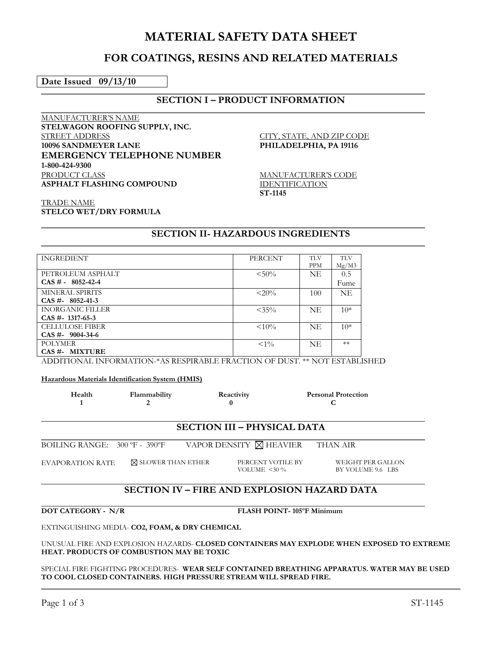# **MATERIAL SAFETY DATA SHEET**

# **FOR COATINGS, RESINS AND RELATED MATERIALS**

**Date Issued 09/13/10** 

## **SECTION I – PRODUCT INFORMATION**

MANUFACTURER'S NAME **STELWAGON ROOFING SUPPLY, INC.**  STREET ADDRESS **10096 SANDMEYER LANE EMERGENCY TELEPHONE NUMBER 1-800-424-9300** PRODUCT CLASS **ASPHALT FLASHING COMPOUND** 

CITY, STATE, AND ZIP CODE **PHILADELPHIA, PA 19116** 

MANUFACTURER'S CODE IDENTIFICATION **ST-1145** 

TRADE NAME **STELCO WET/DRY FORMULA**

### **SECTION II- HAZARDOUS INGREDIENTS**

| <b>INGREDIENT</b>       | PERCENT  | <b>TLV</b> | <b>TLV</b> |
|-------------------------|----------|------------|------------|
|                         |          | <b>PPM</b> | Mg/M3      |
| PETROLEUM ASPHALT       | $< 50\%$ | <b>NE</b>  | 0.5        |
| $CAS # - 8052-42-4$     |          |            | Fume       |
| MINERAL SPIRITS         | $< 20\%$ | 100        | <b>NE</b>  |
| $CAS \# 8052-41-3$      |          |            |            |
| <b>INORGANIC FILLER</b> | $< 35\%$ | NE         | $10*$      |
| $CAS$ #-1317-65-3       |          |            |            |
| <b>CELLULOSE FIBER</b>  | $< 10\%$ | <b>NE</b>  | $10*$      |
| $CAS$ #- 9004-34-6      |          |            |            |
| <b>POLYMER</b>          | $< 1\%$  | <b>NE</b>  | $**$       |
| CAS #- MIXTURE          |          |            |            |

ADDITIONAL INFORMATION-\*AS RESPIRABLE FRACTION OF DUST. \*\* NOT ESTABLISHED

**Hazardous Materials Identification System (HMIS)**

| Health | Flammability | Reactivity | <b>Personal Protection</b> |
|--------|--------------|------------|----------------------------|
|        |              |            |                            |

#### **SECTION III – PHYSICAL DATA**

BOILING RANGE:  $300 \text{ }^{\circ}\text{F}$  -  $390 \text{ }^{\circ}\text{F}$  VAPOR DENSITY  $\boxtimes$  HEAVIER THAN AIR

EVAPORATION RATE  $\boxtimes$  SLOWER THAN ETHER PERCENT VOTILE BY

VOLUME  $<$  30  $\%$ 

WEIGHT PER GALLON BY VOLUME 9.6 LBS

# **SECTION IV – FIRE AND EXPLOSION HAZARD DATA**

**DOT CATEGORY - N/R FLASH POINT-105°F Minimum** 

EXTINGUISHING MEDIA- **CO2, FOAM, & DRY CHEMICAL** 

UNUSUAL FIRE AND EXPLOSION HAZARDS- **CLOSED CONTAINERS MAY EXPLODE WHEN EXPOSED TO EXTREME HEAT. PRODUCTS OF COMBUSTION MAY BE TOXIC** 

SPECIAL FIRE FIGHTING PROCEDURES- **WEAR SELF CONTAINED BREATHING APPARATUS. WATER MAY BE USED TO COOL CLOSED CONTAINERS. HIGH PRESSURE STREAM WILL SPREAD FIRE.**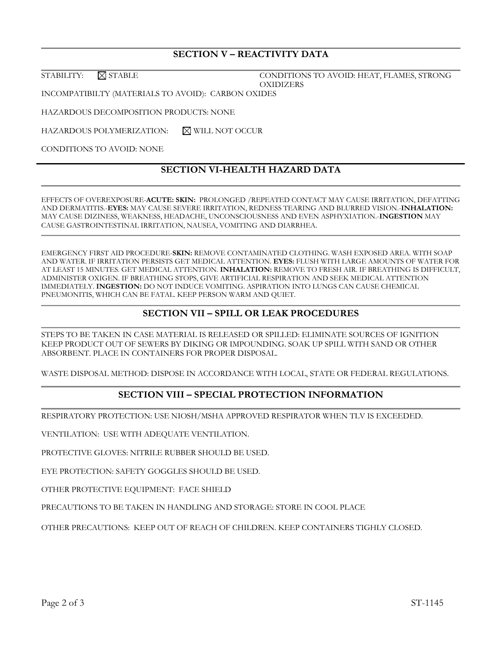# **SECTION V – REACTIVITY DATA**

STABILITY:  $\boxtimes$  STABLE CONDITIONS TO AVOID: HEAT, FLAMES, STRONG **OXIDIZERS** 

INCOMPATIBILTY (MATERIALS TO AVOID): CARBON OXIDES

HAZARDOUS DECOMPOSITION PRODUCTS: NONE

HAZARDOUS POLYMERIZATION: NWILL NOT OCCUR

CONDITIONS TO AVOID: NONE

## **SECTION VI-HEALTH HAZARD DATA**

EFFECTS OF OVEREXPOSURE-**ACUTE: SKIN:** PROLONGED /REPEATED CONTACT MAY CAUSE IRRITATION, DEFATTING AND DERMATITIS.-**EYES:** MAY CAUSE SEVERE IRRITATION, REDNESS TEARING AND BLURRED VISION.-**INHALATION:** MAY CAUSE DIZINESS, WEAKNESS, HEADACHE, UNCONSCIOUSNESS AND EVEN ASPHYXIATION.-**INGESTION** MAY CAUSE GASTROINTESTINAL IRRITATION, NAUSEA, VOMITING AND DIARRHEA.

EMERGENCY FIRST AID PROCEDURE-**SKIN:** REMOVE CONTAMINATED CLOTHING. WASH EXPOSED AREA. WITH SOAP AND WATER. IF IRRITATION PERSISTS GET MEDICAL ATTENTION. **EYES:** FLUSH WITH LARGE AMOUNTS OF WATER FOR AT LEAST 15 MINUTES. GET MEDICAL ATTENTION. **INHALATION:** REMOVE TO FRESH AIR. IF BREATHING IS DIFFICULT, ADMINISTER OXIGEN. IF BREATHING STOPS, GIVE ARTIFICIAL RESPIRATION AND SEEK MEDICAL ATTENTION IMMEDIATELY. **INGESTION:** DO NOT INDUCE VOMITING. ASPIRATION INTO LUNGS CAN CAUSE CHEMICAL PNEUMONITIS, WHICH CAN BE FATAL. KEEP PERSON WARM AND QUIET.

# **SECTION VII – SPILL OR LEAK PROCEDURES**

STEPS TO BE TAKEN IN CASE MATERIAL IS RELEASED OR SPILLED: ELIMINATE SOURCES OF IGNITION KEEP PRODUCT OUT OF SEWERS BY DIKING OR IMPOUNDING. SOAK UP SPILL WITH SAND OR OTHER ABSORBENT. PLACE IN CONTAINERS FOR PROPER DISPOSAL.

WASTE DISPOSAL METHOD: DISPOSE IN ACCORDANCE WITH LOCAL, STATE OR FEDERAL REGULATIONS.

## **SECTION VIII – SPECIAL PROTECTION INFORMATION**

RESPIRATORY PROTECTION: USE NIOSH/MSHA APPROVED RESPIRATOR WHEN TLV IS EXCEEDED.

VENTILATION: USE WITH ADEQUATE VENTILATION.

PROTECTIVE GLOVES: NITRILE RUBBER SHOULD BE USED.

EYE PROTECTION: SAFETY GOGGLES SHOULD BE USED.

OTHER PROTECTIVE EQUIPMENT: FACE SHIELD

PRECAUTIONS TO BE TAKEN IN HANDLING AND STORAGE: STORE IN COOL PLACE

OTHER PRECAUTIONS: KEEP OUT OF REACH OF CHILDREN. KEEP CONTAINERS TIGHLY CLOSED.